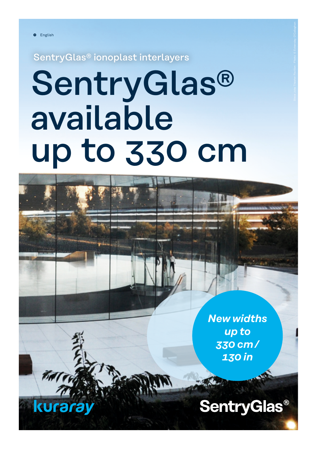<u>kuraray</u>

SentryGlas® ionoplast interlayers

# **SentryGlas®** available up to 330 cm

*New widths up to 330 cm /  130 in*

**SentryGlas®**